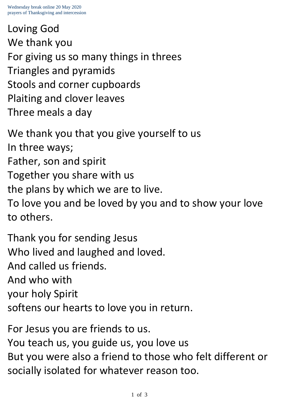Loving God We thank you For giving us so many things in threes Triangles and pyramids Stools and corner cupboards Plaiting and clover leaves Three meals a day

We thank you that you give yourself to us In three ways; Father, son and spirit Together you share with us the plans by which we are to live. To love you and be loved by you and to show your love to others.

Thank you for sending Jesus Who lived and laughed and loved. And called us friends. And who with your holy Spirit softens our hearts to love you in return.

For Jesus you are friends to us. You teach us, you guide us, you love us But you were also a friend to those who felt different or socially isolated for whatever reason too.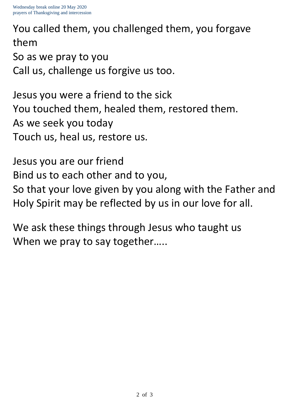You called them, you challenged them, you forgave them So as we pray to you Call us, challenge us forgive us too.

Jesus you were a friend to the sick You touched them, healed them, restored them. As we seek you today Touch us, heal us, restore us.

Jesus you are our friend Bind us to each other and to you, So that your love given by you along with the Father and Holy Spirit may be reflected by us in our love for all.

We ask these things through Jesus who taught us When we pray to say together.....